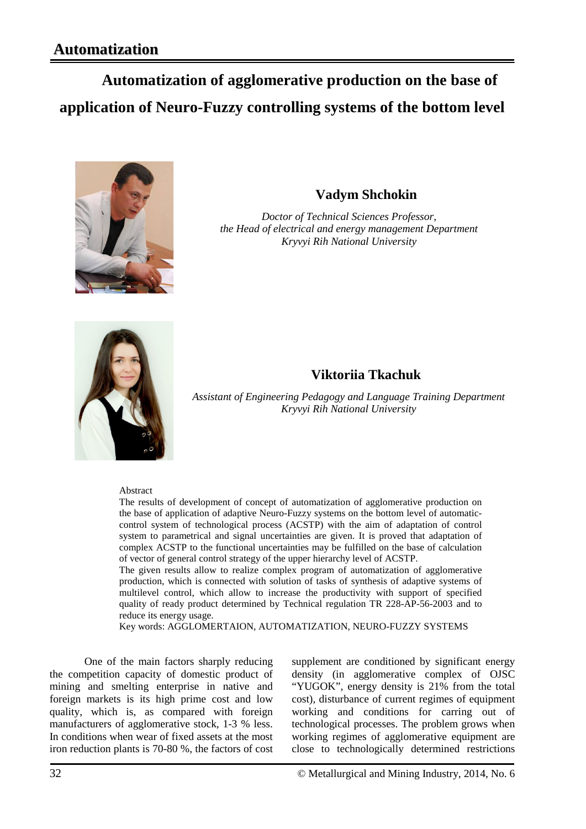# **Automatization of agglomerative production on the base of application of Neuro-Fuzzy controlling systems of the bottom level**



# **Vadym Shchokin**

*Doctor of Technical Sciences Professor, the Head of electrical and energy management Department Kryvyi Rih National University*



### **Viktoriia Tkachuk**

*Assistant of Engineering Pedagogy and Language Training Department Kryvyi Rih National University*

#### Abstract

The results of development of concept of automatization of agglomerative production on the base of application of adaptive Neuro-Fuzzy systems on the bottom level of automaticcontrol system of technological process (ACSTP) with the aim of adaptation of control system to parametrical and signal uncertainties are given. It is proved that adaptation of complex ACSTP to the functional uncertainties may be fulfilled on the base of calculation of vector of general control strategy of the upper hierarchy level of ACSTP.

The given results allow to realize complex program of automatization of agglomerative production, which is connected with solution of tasks of synthesis of adaptive systems of multilevel control, which allow to increase the productivity with support of specified quality of ready product determined by Technical regulation TR 228-AP-56-2003 and to reduce its energy usage.

Key words: AGGLOMERTAION, AUTOMATIZATION, [NEURO-FUZZY](http://www.google.com.ua/url?sa=t&rct=j&q=&esrc=s&source=web&cd=1&cad=rja&uact=8&ved=0CB4QFjAA&url=http0%25%25en.wikipedia.org%25wiki%25Neuro-fuzzy&ei=Xsw8VLm7IYahyAOa8oGwBQ&usg=AFQjCNGSA1CcbuPrYvTqYhqEojQbE7j7FA&sig2=kh--zn8F9tSAoaZEGG3U6A) SYSTEMS

One of the main factors sharply reducing the competition capacity of domestic product of mining and smelting enterprise in native and foreign markets is its high prime cost and low quality, which is, as compared with foreign manufacturers of agglomerative stock, 1-3 % less. In conditions when wear of fixed assets at the most iron reduction plants is 70-80 %, the factors of cost supplement are conditioned by significant energy density (in agglomerative complex of OJSC "YUGOK", energy density is 21% from the total cost), disturbance of current regimes of equipment working and conditions for carring out of technological processes. The problem grows when working regimes of agglomerative equipment are close to technologically determined restrictions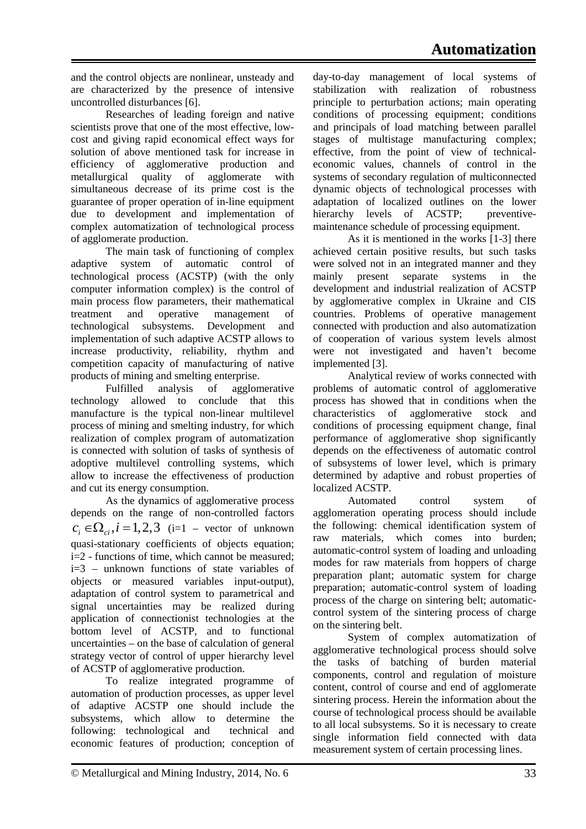and the control objects are nonlinear, unsteady and are characterized by the presence of intensive uncontrolled disturbances [6].

Researches of leading foreign and native scientists prove that one of the most effective, lowcost and giving rapid economical effect ways for solution of above mentioned task for increase in efficiency of agglomerative production and metallurgical quality of agglomerate with simultaneous decrease of its prime cost is the guarantee of proper operation of in-line equipment due to development and implementation of complex automatization of technological process of agglomerate production.

The main task of functioning of complex adaptive system of automatic control of technological process (ACSTP) (with the only computer information complex) is the control of main process flow parameters, their mathematical treatment and operative management of technological subsystems. Development and implementation of such adaptive ACSTP allows to increase productivity, reliability, rhythm and competition capacity of manufacturing of native products of mining and smelting enterprise.

Fulfilled analysis of agglomerative technology allowed to conclude that this manufacture is the typical non-linear multilevel process of mining and smelting industry, for which realization of complex program of automatization is connected with solution of tasks of synthesis of adoptive multilevel controlling systems, which allow to increase the effectiveness of production and cut its energy consumption.

As the dynamics of agglomerative process depends on the range of non-controlled factors  $c_i \in \Omega_{ci}, i = 1,2,3$  (i=1 – vector of unknown quasi-stationary coefficients of objects equation; i=2 - functions of time, which cannot be measured; i=3 – unknown functions of state variables of objects or measured variables input-output), adaptation of control system to parametrical and signal uncertainties may be realized during application of connectionist technologies at the bottom level of ACSTP, and to functional uncertainties – on the base of calculation of general strategy vector of control of upper hierarchy level of ACSTP of agglomerative production.

To realize integrated programme of automation of production processes, as upper level of adaptive ACSTP one should include the subsystems, which allow to determine the following: technological and technical and economic features of production; conception of day-to-day management of local systems of stabilization with realization of robustness principle to perturbation actions; main operating conditions of processing equipment; conditions and principals of load matching between parallel stages of multistage manufacturing complex; effective, from the point of view of technicaleconomic values, channels of control in the systems of secondary regulation of multiconnected dynamic objects of technological processes with adaptation of localized outlines on the lower hierarchy levels of ACSTP; preventivemaintenance schedule of processing equipment.

As it is mentioned in the works [1-3] there achieved certain positive results, but such tasks were solved not in an integrated manner and they mainly present separate systems in the development and industrial realization of ACSTP by agglomerative complex in Ukraine and CIS countries. Problems of operative management connected with production and also automatization of cooperation of various system levels almost were not investigated and haven't become implemented [3].

Analytical review of works connected with problems of automatic control of agglomerative process has showed that in conditions when the characteristics of agglomerative stock and conditions of processing equipment change, final performance of agglomerative shop significantly depends on the effectiveness of automatic control of subsystems of lower level, which is primary determined by adaptive and robust properties of localized ACSTP.

Automated control system of agglomeration operating process should include the following: chemical identification system of raw materials, which comes into burden; automatic-control system of loading and unloading modes for raw materials from hoppers of charge preparation plant; automatic system for charge preparation; automatic-control system of loading process of the charge on sintering belt; automaticcontrol system of the sintering process of charge on the sintering belt.

System of complex automatization of agglomerative technological process should solve the tasks of batching of burden material components, control and regulation of moisture content, control of course and end of agglomerate sintering process. Herein the information about the course of technological process should be available to all local subsystems. So it is necessary to create single information field connected with data measurement system of certain processing lines.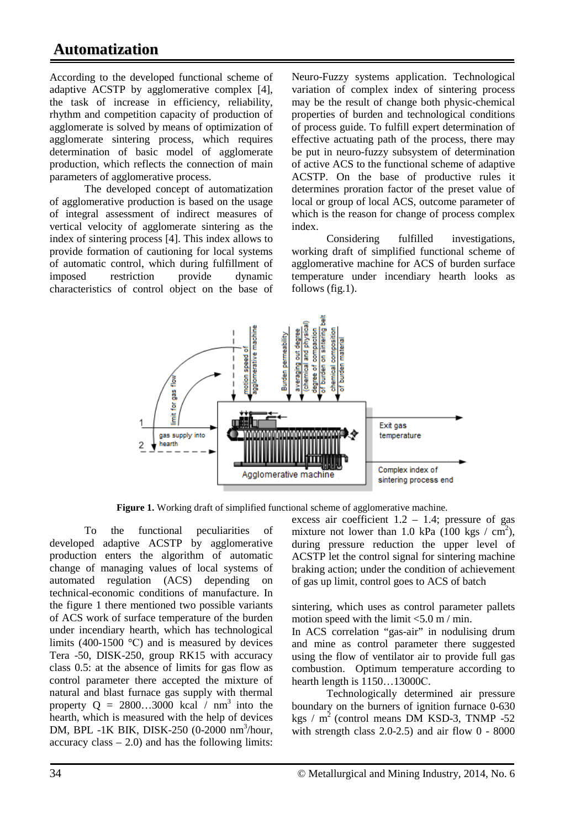# **Automatization**

According to the developed functional scheme of adaptive ACSTP by agglomerative complex [4], the task of increase in efficiency, reliability, rhythm and competition capacity of production of agglomerate is solved by means of optimization of agglomerate sintering process, which requires determination of basic model of agglomerate production, which reflects the connection of main parameters of agglomerative process.

The developed concept of automatization of agglomerative production is based on the usage of integral assessment of indirect measures of vertical velocity of agglomerate sintering as the index of sintering process [4]. This index allows to provide formation of cautioning for local systems of automatic control, which during fulfillment of imposed restriction provide dynamic characteristics of control object on the base of Neuro-Fuzzy systems application. Technological variation of complex index of sintering process may be the result of change both physic-chemical properties of burden and technological conditions of process guide. To fulfill expert determination of effective actuating path of the process, there may be put in neuro-fuzzy subsystem of determination of active ACS to the functional scheme of adaptive ACSTP. On the base of productive rules it determines proration factor of the preset value of local or group of local ACS, outcome parameter of which is the reason for change of process complex index.

Considering fulfilled investigations, working draft of simplified functional scheme of agglomerative machine for ACS of burden surface temperature under incendiary hearth looks as follows (fig.1).



**Figure 1.** Working draft of simplified functional scheme of agglomerative machine.

To the functional peculiarities of developed adaptive ACSTP by agglomerative production enters the algorithm of automatic change of managing values of local systems of automated regulation (ACS) depending on technical-economic conditions of manufacture. In the figure 1 there mentioned two possible variants of ACS work of surface temperature of the burden under incendiary hearth, which has technological limits (400-1500  $^{\circ}$ C) and is measured by devices Tera -50, DISK-250, group RK15 with accuracy class 0.5: at the absence of limits for gas flow as control parameter there accepted the mixture of natural and blast furnace gas supply with thermal property  $Q = 2800...3000$  kcal / nm<sup>3</sup> into the hearth, which is measured with the help of devices DM, BPL -1K BIK, DISK-250 (0-2000 nm<sup>3</sup>/hour, accuracy class  $-2.0$ ) and has the following limits:

excess air coefficient  $1.2 - 1.4$ ; pressure of gas mixture not lower than 1.0 kPa  $(100 \text{ kgs} / \text{cm}^2)$ , during pressure reduction the upper level of ACSTP let the control signal for sintering machine braking action; under the condition of achievement of gas up limit, control goes to ACS of batch

sintering, which uses as control parameter pallets motion speed with the limit  $\langle 5.0 \text{ m} / \text{min.} \rangle$ 

In ACS correlation "gas-air" in nodulising drum and mine as control parameter there suggested using the flow of ventilator air to provide full gas combustion. Optimum temperature according to hearth length is 1150…13000С.

Technologically determined air pressure boundary on the burners of ignition furnace 0-630 kgs /  $m^2$  (control means DM KSD-3, TNMP -52) with strength class  $2.0-2.5$  and air flow  $0 - 8000$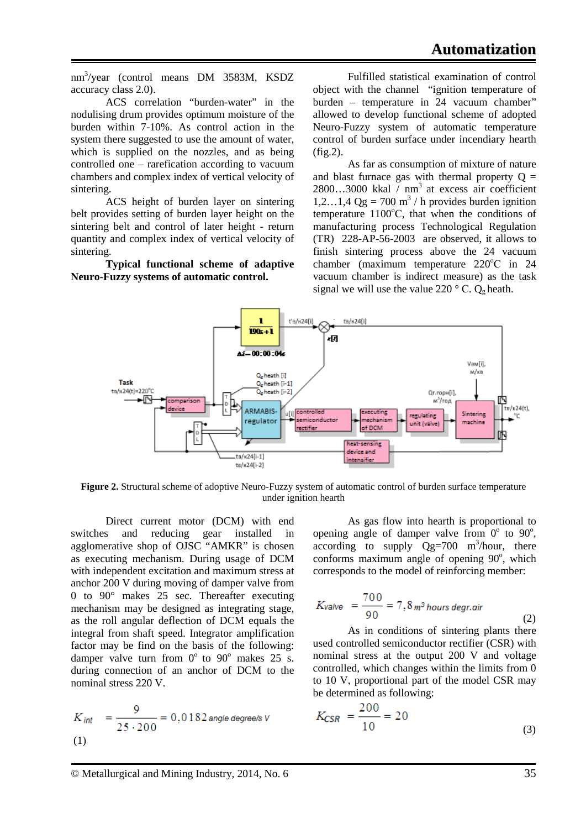nm3 /year (control means DM 3583M, KSDZ accuracy class 2.0).

ACS correlation "burden-water" in the nodulising drum provides optimum moisture of the burden within 7-10%. As control action in the system there suggested to use the amount of water, which is supplied on the nozzles, and as being controlled one – rarefication according to vacuum chambers and complex index of vertical velocity of sintering.

ACS height of burden layer on sintering belt provides setting of burden layer height on the sintering belt and control of later height - return quantity and complex index of vertical velocity of sintering.

**Typical functional scheme of adaptive Neuro-Fuzzy systems of automatic control.** 

Fulfilled statistical examination of control object with the channel "ignition temperature of burden – temperature in 24 vacuum chamber" allowed to develop functional scheme of adopted Neuro-Fuzzy system of automatic temperature control of burden surface under incendiary hearth (fig.2).

As far as consumption of mixture of nature and blast furnace gas with thermal property  $Q =$  $2800...3000$  kkal  $\overline{)}$  nm<sup>3</sup> at excess air coefficient 1,2…1,4  $Qg = 700$  m<sup>3</sup> / h provides burden ignition temperature 1100°C, that when the conditions of manufacturing process Technological Regulation (TR) 228-AP-56-2003 are observed, it allows to finish sintering process above the 24 vacuum chamber (maximum temperature 220°C in 24 vacuum chamber is indirect measure) as the task signal we will use the value 220  $\degree$  C. Q<sub>g</sub> heath.



**Figure 2.** Structural scheme of adoptive [Neuro-Fuzzy](http://www.google.com.ua/url?sa=t&rct=j&q=&esrc=s&source=web&cd=1&cad=rja&uact=8&ved=0CB4QFjAA&url=http0%25%25en.wikipedia.org%25wiki%25Neuro-fuzzy&ei=Xsw8VLm7IYahyAOa8oGwBQ&usg=AFQjCNGSA1CcbuPrYvTqYhqEojQbE7j7FA&sig2=kh--zn8F9tSAoaZEGG3U6A) system of automatic control of burden surface temperature under ignition hearth

Direct current motor (DCM) with end switches and reducing gear installed in agglomerative shop of OJSC "AMKR" is chosen as executing mechanism. During usage of DCM with independent excitation and maximum stress at anchor 200 V during moving of damper valve from 0 to 90° makes 25 sec. Thereafter executing mechanism may be designed as integrating stage, as the roll angular deflection of DCM equals the integral from shaft speed. Integrator amplification factor may be find on the basis of the following: damper valve turn from  $0^{\circ}$  to  $90^{\circ}$  makes 25 s. during connection of an anchor of DCM to the nominal stress 220 V.

$$
K_{int} = \frac{9}{25 \cdot 200} = 0,0182 \text{ angle degree/s } v
$$
  
(1)

As gas flow into hearth is proportional to opening angle of damper valve from  $0^{\circ}$  to  $90^{\circ}$ , according to supply  $Qg=700$  m<sup>3</sup>/hour, there conforms maximum angle of opening 90°, which corresponds to the model of reinforcing member:

$$
K_{\text{Value}} = \frac{700}{90} = 7,8 \,\text{m}^3 \,\text{hours}\,\text{degr.} \text{air} \tag{2}
$$

As in conditions of sintering plants there used controlled semiconductor rectifier (CSR) with nominal stress at the output 200 V and voltage controlled, which changes within the limits from 0 to 10 V, proportional part of the model CSR may be determined as following:  $\sim$   $\sim$   $\sim$ 

$$
K_{\text{CSR}} = \frac{200}{10} = 20\tag{3}
$$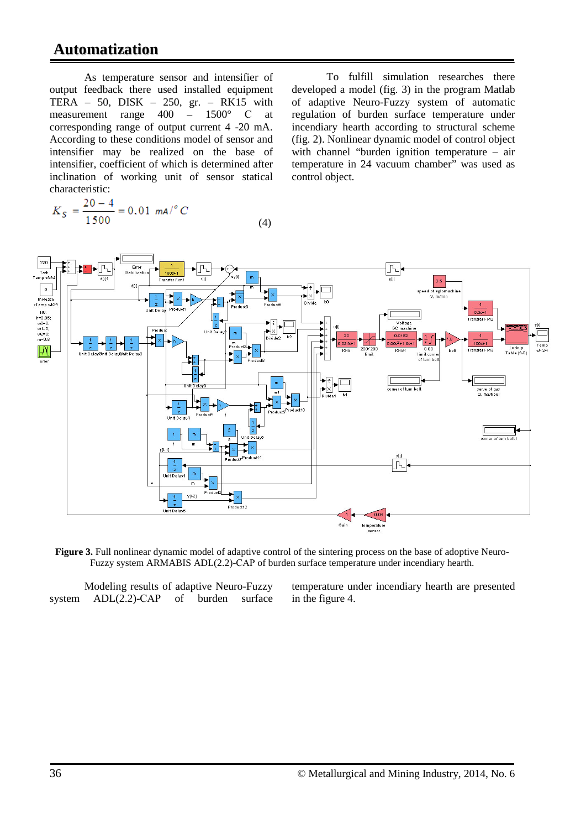## **Automatization**

As temperature sensor and intensifier of output feedback there used installed equipment TERA – 50, DISK – 250, gr. – RK15 with measurement range 400 – 1500° С at corresponding range of output current 4 -20 mA. According to these conditions model of sensor and intensifier may be realized on the base of intensifier, coefficient of which is determined after inclination of working unit of sensor statical characteristic:

 $K_S = \frac{20-4}{1500} = 0.01$  ma/<sup>o</sup> C (4)

To fulfill simulation researches there developed a model (fig. 3) in the program Matlab of adaptive Neuro-Fuzzy system of automatic regulation of burden surface temperature under incendiary hearth according to structural scheme (fig. 2). Nonlinear dynamic model of control object with channel "burden ignition temperature – air temperature in 24 vacuum chamber" was used as control object.



**Figure 3.** Full nonlinear dynamic model of adaptive control of the sintering process on the base of adoptive [Neuro-](http://www.google.com.ua/url?sa=t&rct=j&q=&esrc=s&source=web&cd=1&cad=rja&uact=8&ved=0CB4QFjAA&url=http0%25%25en.wikipedia.org%25wiki%25Neuro-fuzzy&ei=Xsw8VLm7IYahyAOa8oGwBQ&usg=AFQjCNGSA1CcbuPrYvTqYhqEojQbE7j7FA&sig2=kh--zn8F9tSAoaZEGG3U6A)[Fuzzy](http://www.google.com.ua/url?sa=t&rct=j&q=&esrc=s&source=web&cd=1&cad=rja&uact=8&ved=0CB4QFjAA&url=http0%25%25en.wikipedia.org%25wiki%25Neuro-fuzzy&ei=Xsw8VLm7IYahyAOa8oGwBQ&usg=AFQjCNGSA1CcbuPrYvTqYhqEojQbE7j7FA&sig2=kh--zn8F9tSAoaZEGG3U6A) system ARMABIS ADL(2.2)-САР of burden surface temperature under incendiary hearth.

Modeling results of adaptive [Neuro-Fuzzy](http://www.google.com.ua/url?sa=t&rct=j&q=&esrc=s&source=web&cd=1&cad=rja&uact=8&ved=0CB4QFjAA&url=http0%25%25en.wikipedia.org%25wiki%25Neuro-fuzzy&ei=Xsw8VLm7IYahyAOa8oGwBQ&usg=AFQjCNGSA1CcbuPrYvTqYhqEojQbE7j7FA&sig2=kh--zn8F9tSAoaZEGG3U6A) system ADL(2.2)-CAP of burden surface temperature under incendiary hearth are presented in the figure 4.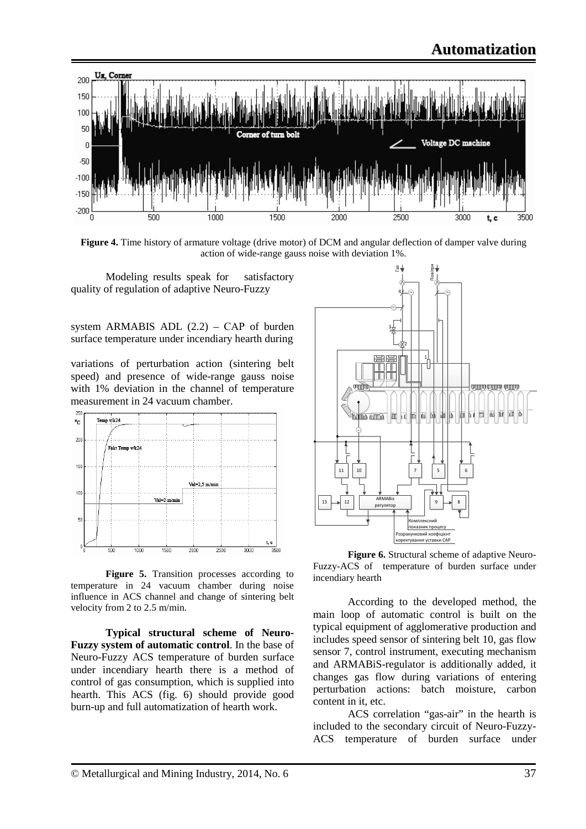

**Figure 4.** Time history of armature voltage (drive motor) of DCM and angular deflection of damper valve during action of wide-range gauss noise with deviation 1%.

Modeling results speak for satisfactory quality of regulation of adaptive Neuro-Fuzzy

system ARMABIS ADL  $(2.2)$  – CAP of burden surface temperature under incendiary hearth during

variations of perturbation action (sintering belt speed) and presence of wide-range gauss noise with 1% deviation in the channel of temperature measurement in 24 vacuum chamber.



**Figure 5.** Transition processes according to temperature in 24 vacuum chamber during noise influence in ACS channel and change of sintering belt velocity from 2 to 2.5 m/min.

**Typical structural scheme of [Neuro-](http://www.google.com.ua/url?sa=t&rct=j&q=&esrc=s&source=web&cd=1&cad=rja&uact=8&ved=0CB4QFjAA&url=http0%25%25en.wikipedia.org%25wiki%25Neuro-fuzzy&ei=Xsw8VLm7IYahyAOa8oGwBQ&usg=AFQjCNGSA1CcbuPrYvTqYhqEojQbE7j7FA&sig2=kh--zn8F9tSAoaZEGG3U6A)[Fuzzy](http://www.google.com.ua/url?sa=t&rct=j&q=&esrc=s&source=web&cd=1&cad=rja&uact=8&ved=0CB4QFjAA&url=http0%25%25en.wikipedia.org%25wiki%25Neuro-fuzzy&ei=Xsw8VLm7IYahyAOa8oGwBQ&usg=AFQjCNGSA1CcbuPrYvTqYhqEojQbE7j7FA&sig2=kh--zn8F9tSAoaZEGG3U6A) system of automatic control**. In the base of [Neuro-Fuzzy](http://www.google.com.ua/url?sa=t&rct=j&q=&esrc=s&source=web&cd=1&cad=rja&uact=8&ved=0CB4QFjAA&url=http0%25%25en.wikipedia.org%25wiki%25Neuro-fuzzy&ei=Xsw8VLm7IYahyAOa8oGwBQ&usg=AFQjCNGSA1CcbuPrYvTqYhqEojQbE7j7FA&sig2=kh--zn8F9tSAoaZEGG3U6A) ACS temperature of burden surface under incendiary hearth there is a method of control of gas consumption, which is supplied into hearth. This ACS (fig. 6) should provide good burn-up and full automatization of hearth work.



**Figure 6.** Structural scheme of adaptive [Neuro-](http://www.google.com.ua/url?sa=t&rct=j&q=&esrc=s&source=web&cd=1&cad=rja&uact=8&ved=0CB4QFjAA&url=http0%25%25en.wikipedia.org%25wiki%25Neuro-fuzzy&ei=Xsw8VLm7IYahyAOa8oGwBQ&usg=AFQjCNGSA1CcbuPrYvTqYhqEojQbE7j7FA&sig2=kh--zn8F9tSAoaZEGG3U6A)[Fuzzy-](http://www.google.com.ua/url?sa=t&rct=j&q=&esrc=s&source=web&cd=1&cad=rja&uact=8&ved=0CB4QFjAA&url=http0%25%25en.wikipedia.org%25wiki%25Neuro-fuzzy&ei=Xsw8VLm7IYahyAOa8oGwBQ&usg=AFQjCNGSA1CcbuPrYvTqYhqEojQbE7j7FA&sig2=kh--zn8F9tSAoaZEGG3U6A)ACS of temperature of burden surface under incendiary hearth

According to the developed method, the main loop of automatic control is built on the typical equipment of agglomerative production and includes speed sensor of sintering belt 10, gas flow sensor 7, control instrument, executing mechanism and ARMABiS-regulator is additionally added, it changes gas flow during variations of entering perturbation actions: batch moisture, carbon content in it, etc.

ACS correlation "gas-air" in the hearth is included to the secondary circuit of [Neuro-Fuzzy-](http://www.google.com.ua/url?sa=t&rct=j&q=&esrc=s&source=web&cd=1&cad=rja&uact=8&ved=0CB4QFjAA&url=http0%25%25en.wikipedia.org%25wiki%25Neuro-fuzzy&ei=Xsw8VLm7IYahyAOa8oGwBQ&usg=AFQjCNGSA1CcbuPrYvTqYhqEojQbE7j7FA&sig2=kh--zn8F9tSAoaZEGG3U6A)ACS temperature of burden surface under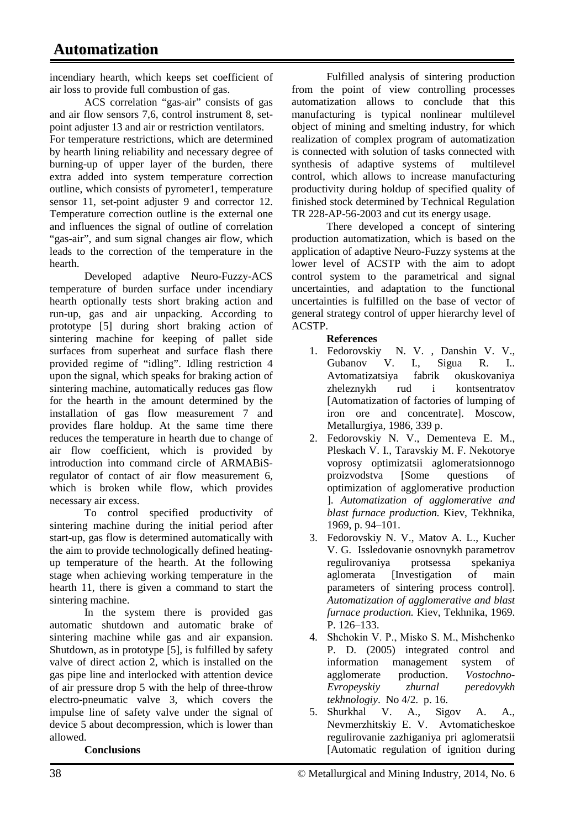incendiary hearth, which keeps set coefficient of air loss to provide full combustion of gas.

ACS correlation "gas-air" consists of gas and air flow sensors 7,6, control instrument 8, setpoint adjuster 13 and air or restriction ventilators. For temperature restrictions, which are determined by hearth lining reliability and necessary degree of burning-up of upper layer of the burden, there extra added into system temperature correction outline, which consists of pyrometer1, temperature sensor 11, set-point adjuster 9 and corrector 12. Temperature correction outline is the external one and influences the signal of outline of correlation "gas-air", and sum signal changes air flow, which leads to the correction of the temperature in the hearth.

Developed adaptive Neuro-Fuzzy-ACS temperature of burden surface under incendiary hearth optionally tests short braking action and run-up, gas and air unpacking. According to prototype [5] during short braking action of sintering machine for keeping of pallet side surfaces from superheat and surface flash there provided regime of "idling". Idling restriction 4 upon the signal, which speaks for braking action of sintering machine, automatically reduces gas flow for the hearth in the amount determined by the installation of gas flow measurement 7 and provides flare holdup. At the same time there reduces the temperature in hearth due to change of air flow coefficient, which is provided by introduction into command circle of ARMABiSregulator of contact of air flow measurement 6, which is broken while flow, which provides necessary air excess.

To control specified productivity of sintering machine during the initial period after start-up, gas flow is determined automatically with the aim to provide technologically defined heatingup temperature of the hearth. At the following stage when achieving working temperature in the hearth 11, there is given a command to start the sintering machine.

In the system there is provided gas automatic shutdown and automatic brake of sintering machine while gas and air expansion. Shutdown, as in prototype [5], is fulfilled by safety valve of direct action 2, which is installed on the gas pipe line and interlocked with attention device of air pressure drop 5 with the help of three-throw electro-pneumatic valve 3, which covers the impulse line of safety valve under the signal of device 5 about decompression, which is lower than allowed.

### **Conclusions**

Fulfilled analysis of sintering production from the point of view controlling processes automatization allows to conclude that this manufacturing is typical nonlinear multilevel object of mining and smelting industry, for which realization of complex program of automatization is connected with solution of tasks connected with synthesis of adaptive systems of multilevel control, which allows to increase manufacturing productivity during holdup of specified quality of finished stock determined by Technical Regulation TR 228-AP-56-2003 and cut its energy usage.

There developed a concept of sintering production automatization, which is based on the application of adaptive Neuro-Fuzzy systems at the lower level of ACSTP with the aim to adopt control system to the parametrical and signal uncertainties, and adaptation to the functional uncertainties is fulfilled on the base of vector of general strategy control of upper hierarchy level of ACSTP.

### **References**

- 1. Fedorovskiy N. V. , Danshin V. V., Gubanov V. I., Sigua R. I.. Avtomatizatsiya fabrik okuskovaniya zheleznykh rud i kontsentratov [Automatization of factories of lumping of iron ore and concentrate]. Moscow, Metallurgiya, 1986, 339 p.
- 2. Fedorovskiy N. V., Dementeva E. M., Pleskach V. I., Taravskiy M. F. Nekotorye voprosy optimizatsii aglomeratsionnogo proizvodstva [Some questions of optimization of agglomerative production ]. *Automatization of agglomerative and blast furnace production.* Kiev, Tekhnika, 1969, p. 94–101.
- 3. Fedorovskiy N. V., Matov A. L., Kucher V. G. Issledovanie osnovnykh parametrov regulirovaniya protsessa spekaniya aglomerata [Investigation of main parameters of sintering process control]. *Automatization of agglomerative and blast furnace production.* Kiev, Tekhnika, 1969. P. 126–133.
- 4. Shchokіn V. P., Misko S. M., Mіshchenko P. D. (2005) integrated control and information management system of agglomerate production. *Vostochno-Evropeyskiy zhurnal peredovykh tekhnologiy*. No 4/2. p. 16.
- 5. Shurkhal V. A., Sigov A. A., Nevmerzhitskiy E. V. Avtomaticheskoe regulirovanie zazhiganiya pri aglomeratsii [Automatic regulation of ignition during